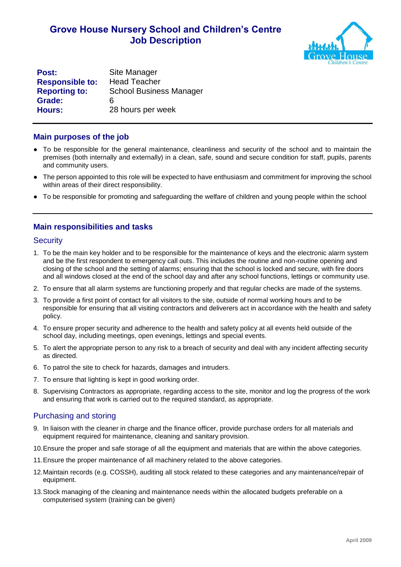# **Grove House Nursery School and Children's Centre Job Description**



**Post:** Site Manager **Responsible to:** Head Teacher **Reporting to:** School Business Manager **Grade:** 6 **Hours:** 28 hours per week

### **Main purposes of the job**

- To be responsible for the general maintenance, cleanliness and security of the school and to maintain the premises (both internally and externally) in a clean, safe, sound and secure condition for staff, pupils, parents and community users.
- The person appointed to this role will be expected to have enthusiasm and commitment for improving the school within areas of their direct responsibility.
- To be responsible for promoting and safeguarding the welfare of children and young people within the school

## **Main responsibilities and tasks**

#### **Security**

- 1. To be the main key holder and to be responsible for the maintenance of keys and the electronic alarm system and be the first respondent to emergency call outs. This includes the routine and non-routine opening and closing of the school and the setting of alarms; ensuring that the school is locked and secure, with fire doors and all windows closed at the end of the school day and after any school functions, lettings or community use.
- 2. To ensure that all alarm systems are functioning properly and that regular checks are made of the systems.
- 3. To provide a first point of contact for all visitors to the site, outside of normal working hours and to be responsible for ensuring that all visiting contractors and deliverers act in accordance with the health and safety policy.
- 4. To ensure proper security and adherence to the health and safety policy at all events held outside of the school day, including meetings, open evenings, lettings and special events.
- 5. To alert the appropriate person to any risk to a breach of security and deal with any incident affecting security as directed.
- 6. To patrol the site to check for hazards, damages and intruders.
- 7. To ensure that lighting is kept in good working order.
- 8. Supervising Contractors as appropriate, regarding access to the site, monitor and log the progress of the work and ensuring that work is carried out to the required standard, as appropriate.

## Purchasing and storing

- 9. In liaison with the cleaner in charge and the finance officer, provide purchase orders for all materials and equipment required for maintenance, cleaning and sanitary provision.
- 10.Ensure the proper and safe storage of all the equipment and materials that are within the above categories.
- 11.Ensure the proper maintenance of all machinery related to the above categories.
- 12.Maintain records (e.g. COSSH), auditing all stock related to these categories and any maintenance/repair of equipment.
- 13.Stock managing of the cleaning and maintenance needs within the allocated budgets preferable on a computerised system (training can be given)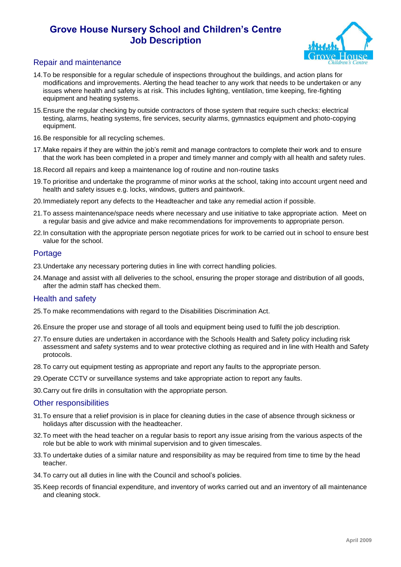# **Grove House Nursery School and Children's Centre Job Description**



## Repair and maintenance

- 14.To be responsible for a regular schedule of inspections throughout the buildings, and action plans for modifications and improvements. Alerting the head teacher to any work that needs to be undertaken or any issues where health and safety is at risk. This includes lighting, ventilation, time keeping, fire-fighting equipment and heating systems.
- 15.Ensure the regular checking by outside contractors of those system that require such checks: electrical testing, alarms, heating systems, fire services, security alarms, gymnastics equipment and photo-copying equipment.
- 16.Be responsible for all recycling schemes.
- 17.Make repairs if they are within the job's remit and manage contractors to complete their work and to ensure that the work has been completed in a proper and timely manner and comply with all health and safety rules.
- 18.Record all repairs and keep a maintenance log of routine and non-routine tasks
- 19.To prioritise and undertake the programme of minor works at the school, taking into account urgent need and health and safety issues e.g. locks, windows, gutters and paintwork.
- 20.Immediately report any defects to the Headteacher and take any remedial action if possible.
- 21.To assess maintenance/space needs where necessary and use initiative to take appropriate action. Meet on a regular basis and give advice and make recommendations for improvements to appropriate person.
- 22.In consultation with the appropriate person negotiate prices for work to be carried out in school to ensure best value for the school.

### **Portage**

- 23.Undertake any necessary portering duties in line with correct handling policies.
- 24.Manage and assist with all deliveries to the school, ensuring the proper storage and distribution of all goods, after the admin staff has checked them.

### Health and safety

- 25.To make recommendations with regard to the Disabilities Discrimination Act.
- 26.Ensure the proper use and storage of all tools and equipment being used to fulfil the job description.
- 27.To ensure duties are undertaken in accordance with the Schools Health and Safety policy including risk assessment and safety systems and to wear protective clothing as required and in line with Health and Safety protocols.
- 28.To carry out equipment testing as appropriate and report any faults to the appropriate person.
- 29.Operate CCTV or surveillance systems and take appropriate action to report any faults.
- 30.Carry out fire drills in consultation with the appropriate person.

#### Other responsibilities

- 31.To ensure that a relief provision is in place for cleaning duties in the case of absence through sickness or holidays after discussion with the headteacher.
- 32.To meet with the head teacher on a regular basis to report any issue arising from the various aspects of the role but be able to work with minimal supervision and to given timescales.
- 33.To undertake duties of a similar nature and responsibility as may be required from time to time by the head teacher.
- 34.To carry out all duties in line with the Council and school's policies.
- 35.Keep records of financial expenditure, and inventory of works carried out and an inventory of all maintenance and cleaning stock.